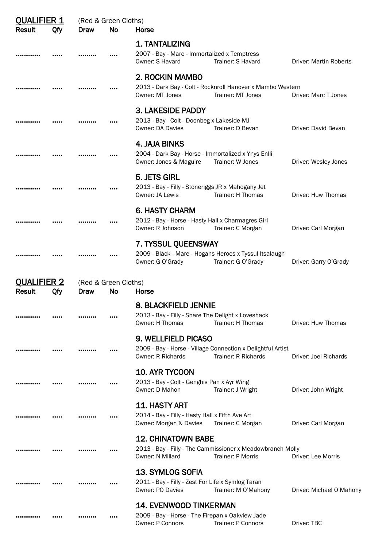| <b>OUALIFIER 1</b>                         |     | (Red & Green Cloths) |    |                                                                                                                                  |                               |  |  |  |
|--------------------------------------------|-----|----------------------|----|----------------------------------------------------------------------------------------------------------------------------------|-------------------------------|--|--|--|
| <b>Result</b>                              | Qfy | Draw                 | No | Horse                                                                                                                            |                               |  |  |  |
|                                            |     |                      |    | 1. TANTALIZING<br>2007 - Bay - Mare - Immortalized x Temptress<br>Owner: S Havard<br>Trainer: S Havard                           | <b>Driver: Martin Roberts</b> |  |  |  |
|                                            |     |                      |    | 2. ROCKIN MAMBO<br>2013 - Dark Bay - Colt - Rocknroll Hanover x Mambo Western<br>Trainer: MT Jones<br>Owner: MT Jones            | Driver: Marc T Jones          |  |  |  |
|                                            |     |                      |    | <b>3. LAKESIDE PADDY</b><br>2013 - Bay - Colt - Doonbeg x Lakeside MJ<br>Owner: DA Davies<br>Trainer: D Bevan                    | Driver: David Bevan           |  |  |  |
|                                            |     |                      |    | 4. JAJA BINKS<br>2004 - Dark Bay - Horse - Immortalized x Ynys Enlli<br>Owner: Jones & Maguire<br>Trainer: W Jones               | Driver: Wesley Jones          |  |  |  |
|                                            |     |                      |    | 5. JETS GIRL<br>2013 - Bay - Filly - Stoneriggs JR x Mahogany Jet<br>Owner: JA Lewis<br>Trainer: H Thomas                        | Driver: Huw Thomas            |  |  |  |
|                                            |     |                      |    | <b>6. HASTY CHARM</b><br>2012 - Bay - Horse - Hasty Hall x Charmagres Girl<br>Owner: R Johnson<br>Trainer: C Morgan              | Driver: Carl Morgan           |  |  |  |
|                                            |     |                      |    | 7. TYSSUL QUEENSWAY<br>2009 - Black - Mare - Hogans Heroes x Tyssul Itsalaugh<br>Owner: G O'Grady<br>Trainer: G O'Grady          | Driver: Garry O'Grady         |  |  |  |
| <b>QUALIFIER 2</b><br>(Red & Green Cloths) |     |                      |    |                                                                                                                                  |                               |  |  |  |
| Result                                     | Qfy | Draw                 | No | Horse                                                                                                                            |                               |  |  |  |
|                                            |     |                      |    | <b>8. BLACKFIELD JENNIE</b>                                                                                                      |                               |  |  |  |
|                                            |     |                      |    | 2013 - Bay - Filly - Share The Delight x Loveshack<br>Owner: H Thomas<br>Trainer: H Thomas                                       | Driver: Huw Thomas            |  |  |  |
|                                            |     |                      |    | <b>9. WELLFIELD PICASO</b>                                                                                                       |                               |  |  |  |
|                                            |     |                      |    | 2009 - Bay - Horse - Village Connection x Delightful Artist<br><b>Owner: R Richards</b><br><b>Trainer: R Richards</b>            | Driver: Joel Richards         |  |  |  |
|                                            |     |                      |    | <b>10. AYR TYCOON</b>                                                                                                            |                               |  |  |  |
|                                            |     |                      |    | 2013 - Bay - Colt - Genghis Pan x Ayr Wing<br>Owner: D Mahon<br>Trainer: J Wright                                                | Driver: John Wright           |  |  |  |
|                                            |     |                      |    | <b>11. HASTY ART</b><br>2014 - Bay - Filly - Hasty Hall x Fifth Ave Art<br>Owner: Morgan & Davies<br>Trainer: C Morgan           | Driver: Carl Morgan           |  |  |  |
|                                            |     |                      |    | <b>12. CHINATOWN BABE</b><br>2013 - Bay - Filly - The Cammissioner x Meadowbranch Molly<br>Owner: N Millard<br>Trainer: P Morris | Driver: Lee Morris            |  |  |  |
|                                            |     |                      |    | <b>13. SYMLOG SOFIA</b><br>2011 - Bay - Filly - Zest For Life x Symlog Taran<br>Owner: PO Davies<br>Trainer: M O'Mahony          | Driver: Michael O'Mahony      |  |  |  |
|                                            |     |                      |    | <b>14. EVENWOOD TINKERMAN</b><br>2009 - Bay - Horse - The Firepan x Oakview Jade<br>Trainer: P Connors<br>Owner: P Connors       | Driver: TBC                   |  |  |  |